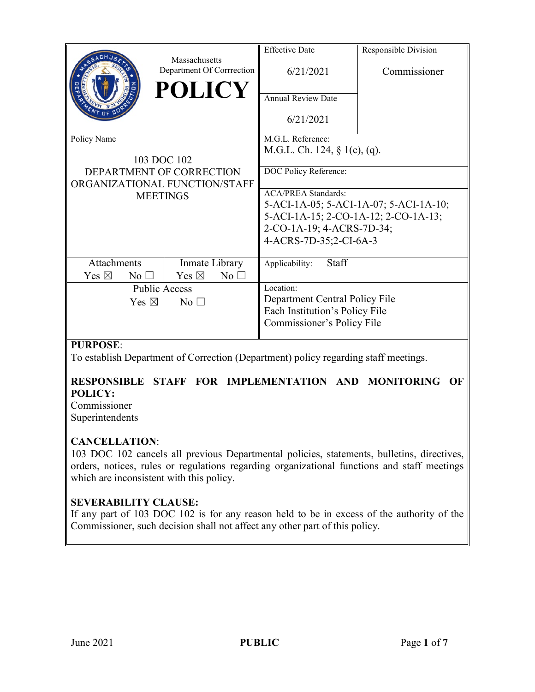|                                   |                                            | <b>Effective Date</b>                  | Responsible Division |
|-----------------------------------|--------------------------------------------|----------------------------------------|----------------------|
|                                   | Massachusetts<br>Department Of Corrrection | 6/21/2021                              | Commissioner         |
|                                   | <b>POLICY</b>                              | <b>Annual Review Date</b>              |                      |
|                                   |                                            | 6/21/2021                              |                      |
| Policy Name                       |                                            | M.G.L. Reference:                      |                      |
|                                   |                                            | M.G.L. Ch. 124, $\S$ 1(c), (q).        |                      |
| 103 DOC 102                       |                                            |                                        |                      |
| DEPARTMENT OF CORRECTION          |                                            | DOC Policy Reference:                  |                      |
| ORGANIZATIONAL FUNCTION/STAFF     |                                            |                                        |                      |
| <b>MEETINGS</b>                   |                                            | <b>ACA/PREA Standards:</b>             |                      |
|                                   |                                            | 5-ACI-1A-05; 5-ACI-1A-07; 5-ACI-1A-10; |                      |
|                                   |                                            | 5-ACI-1A-15; 2-CO-1A-12; 2-CO-1A-13;   |                      |
|                                   |                                            | 2-CO-1A-19; 4-ACRS-7D-34;              |                      |
|                                   |                                            | 4-ACRS-7D-35;2-CI-6A-3                 |                      |
|                                   |                                            |                                        |                      |
| <b>Attachments</b>                | Inmate Library                             | Staff<br>Applicability:                |                      |
| Yes $\boxtimes$<br>$No$ $\square$ | Yes $\boxtimes$<br>No <sub>1</sub>         |                                        |                      |
| <b>Public Access</b>              |                                            | Location:                              |                      |
| Yes $\boxtimes$<br>No $\square$   |                                            | Department Central Policy File         |                      |
|                                   |                                            | Each Institution's Policy File         |                      |
|                                   |                                            | Commissioner's Policy File             |                      |
|                                   |                                            |                                        |                      |

# **PURPOSE**:

To establish Department of Correction (Department) policy regarding staff meetings.

# **RESPONSIBLE STAFF FOR IMPLEMENTATION AND MONITORING OF POLICY:**

Commissioner Superintendents

### **CANCELLATION**:

103 DOC 102 cancels all previous Departmental policies, statements, bulletins, directives, orders, notices, rules or regulations regarding organizational functions and staff meetings which are inconsistent with this policy.

### **SEVERABILITY CLAUSE:**

If any part of 103 DOC 102 is for any reason held to be in excess of the authority of the Commissioner, such decision shall not affect any other part of this policy.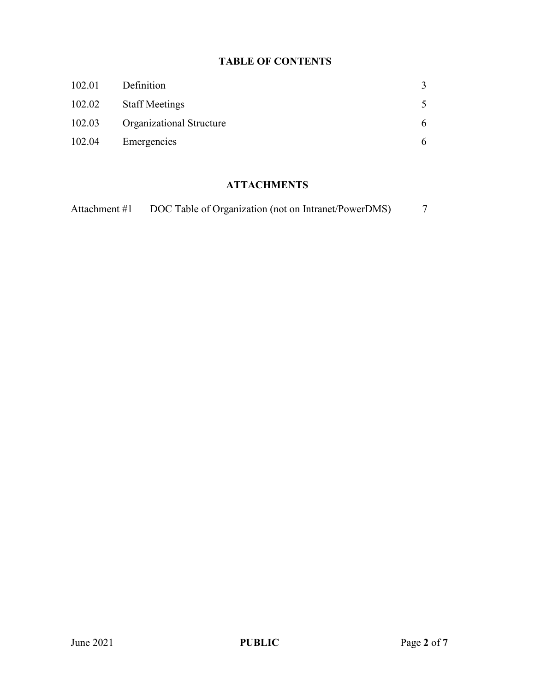# **TABLE OF CONTENTS**

| 102.01 | Definition                      | 3 |
|--------|---------------------------------|---|
| 102.02 | <b>Staff Meetings</b>           |   |
| 102.03 | <b>Organizational Structure</b> | 6 |
| 102.04 | Emergencies                     | 6 |

# **ATTACHMENTS**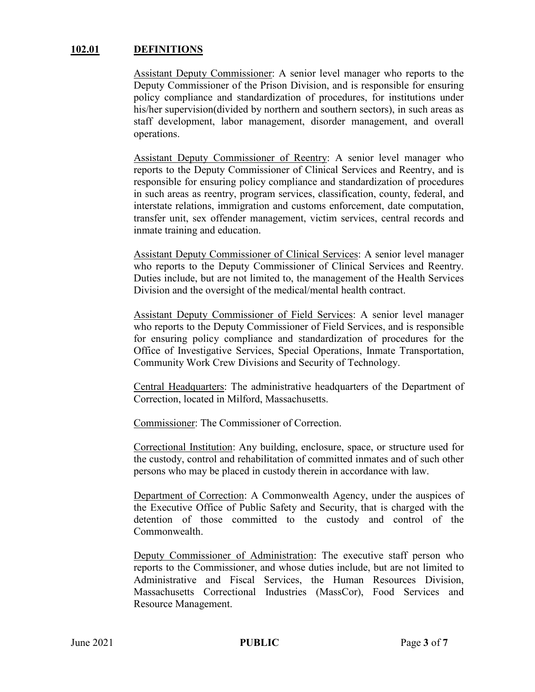#### **102.01 DEFINITIONS**

Assistant Deputy Commissioner: A senior level manager who reports to the Deputy Commissioner of the Prison Division, and is responsible for ensuring policy compliance and standardization of procedures, for institutions under his/her supervision(divided by northern and southern sectors), in such areas as staff development, labor management, disorder management, and overall operations.

Assistant Deputy Commissioner of Reentry: A senior level manager who reports to the Deputy Commissioner of Clinical Services and Reentry, and is responsible for ensuring policy compliance and standardization of procedures in such areas as reentry, program services, classification, county, federal, and interstate relations, immigration and customs enforcement, date computation, transfer unit, sex offender management, victim services, central records and inmate training and education.

Assistant Deputy Commissioner of Clinical Services: A senior level manager who reports to the Deputy Commissioner of Clinical Services and Reentry. Duties include, but are not limited to, the management of the Health Services Division and the oversight of the medical/mental health contract.

Assistant Deputy Commissioner of Field Services: A senior level manager who reports to the Deputy Commissioner of Field Services, and is responsible for ensuring policy compliance and standardization of procedures for the Office of Investigative Services, Special Operations, Inmate Transportation, Community Work Crew Divisions and Security of Technology.

Central Headquarters: The administrative headquarters of the Department of Correction, located in Milford, Massachusetts.

Commissioner: The Commissioner of Correction.

Correctional Institution: Any building, enclosure, space, or structure used for the custody, control and rehabilitation of committed inmates and of such other persons who may be placed in custody therein in accordance with law.

Department of Correction: A Commonwealth Agency, under the auspices of the Executive Office of Public Safety and Security, that is charged with the detention of those committed to the custody and control of the Commonwealth.

Deputy Commissioner of Administration: The executive staff person who reports to the Commissioner, and whose duties include, but are not limited to Administrative and Fiscal Services, the Human Resources Division, Massachusetts Correctional Industries (MassCor), Food Services and Resource Management.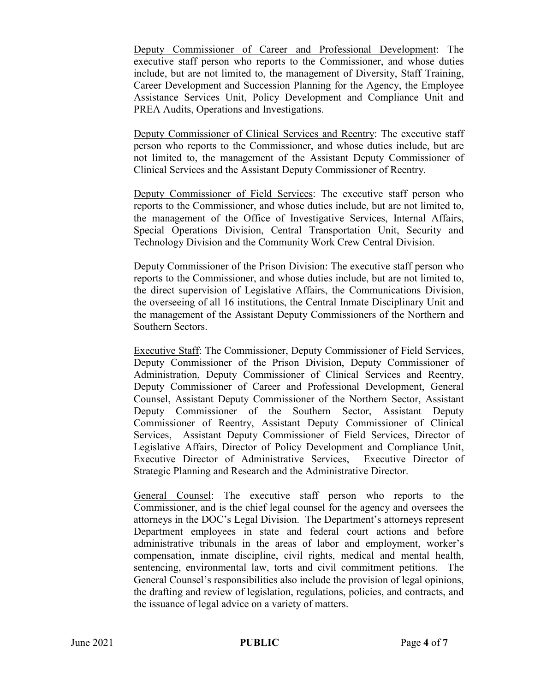Deputy Commissioner of Career and Professional Development: The executive staff person who reports to the Commissioner, and whose duties include, but are not limited to, the management of Diversity, Staff Training, Career Development and Succession Planning for the Agency, the Employee Assistance Services Unit, Policy Development and Compliance Unit and PREA Audits, Operations and Investigations.

Deputy Commissioner of Clinical Services and Reentry: The executive staff person who reports to the Commissioner, and whose duties include, but are not limited to, the management of the Assistant Deputy Commissioner of Clinical Services and the Assistant Deputy Commissioner of Reentry.

Deputy Commissioner of Field Services: The executive staff person who reports to the Commissioner, and whose duties include, but are not limited to, the management of the Office of Investigative Services, Internal Affairs, Special Operations Division, Central Transportation Unit, Security and Technology Division and the Community Work Crew Central Division.

Deputy Commissioner of the Prison Division: The executive staff person who reports to the Commissioner, and whose duties include, but are not limited to, the direct supervision of Legislative Affairs, the Communications Division, the overseeing of all 16 institutions, the Central Inmate Disciplinary Unit and the management of the Assistant Deputy Commissioners of the Northern and Southern Sectors.

Executive Staff: The Commissioner, Deputy Commissioner of Field Services, Deputy Commissioner of the Prison Division, Deputy Commissioner of Administration, Deputy Commissioner of Clinical Services and Reentry, Deputy Commissioner of Career and Professional Development, General Counsel, Assistant Deputy Commissioner of the Northern Sector, Assistant Deputy Commissioner of the Southern Sector, Assistant Deputy Commissioner of Reentry, Assistant Deputy Commissioner of Clinical Services, Assistant Deputy Commissioner of Field Services, Director of Legislative Affairs, Director of Policy Development and Compliance Unit, Executive Director of Administrative Services, Executive Director of Strategic Planning and Research and the Administrative Director.

General Counsel: The executive staff person who reports to the Commissioner, and is the chief legal counsel for the agency and oversees the attorneys in the DOC's Legal Division. The Department's attorneys represent Department employees in state and federal court actions and before administrative tribunals in the areas of labor and employment, worker's compensation, inmate discipline, civil rights, medical and mental health, sentencing, environmental law, torts and civil commitment petitions. The General Counsel's responsibilities also include the provision of legal opinions, the drafting and review of legislation, regulations, policies, and contracts, and the issuance of legal advice on a variety of matters.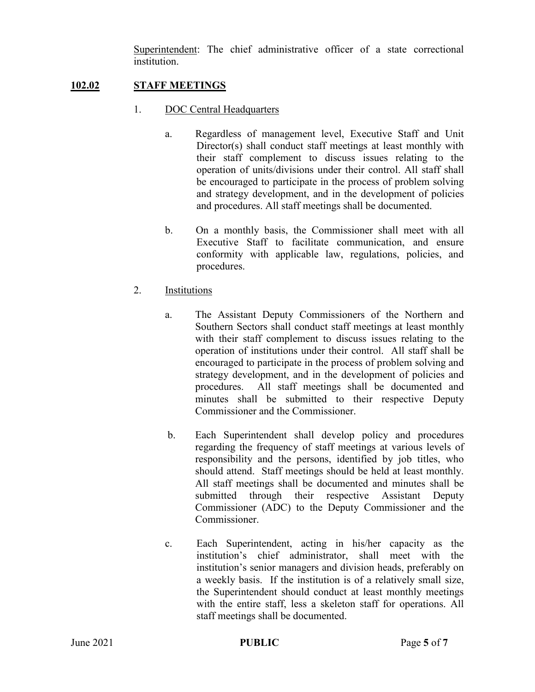Superintendent: The chief administrative officer of a state correctional institution.

# **102.02 STAFF MEETINGS**

- 1. DOC Central Headquarters
	- a. Regardless of management level, Executive Staff and Unit Director(s) shall conduct staff meetings at least monthly with their staff complement to discuss issues relating to the operation of units/divisions under their control. All staff shall be encouraged to participate in the process of problem solving and strategy development, and in the development of policies and procedures. All staff meetings shall be documented.
	- b. On a monthly basis, the Commissioner shall meet with all Executive Staff to facilitate communication, and ensure conformity with applicable law, regulations, policies, and procedures.
- 2. Institutions
	- a. The Assistant Deputy Commissioners of the Northern and Southern Sectors shall conduct staff meetings at least monthly with their staff complement to discuss issues relating to the operation of institutions under their control. All staff shall be encouraged to participate in the process of problem solving and strategy development, and in the development of policies and procedures. All staff meetings shall be documented and minutes shall be submitted to their respective Deputy Commissioner and the Commissioner.
	- b. Each Superintendent shall develop policy and procedures regarding the frequency of staff meetings at various levels of responsibility and the persons, identified by job titles, who should attend. Staff meetings should be held at least monthly. All staff meetings shall be documented and minutes shall be submitted through their respective Assistant Deputy Commissioner (ADC) to the Deputy Commissioner and the Commissioner.
	- c. Each Superintendent, acting in his/her capacity as the institution's chief administrator, shall meet with the institution's senior managers and division heads, preferably on a weekly basis. If the institution is of a relatively small size, the Superintendent should conduct at least monthly meetings with the entire staff, less a skeleton staff for operations. All staff meetings shall be documented.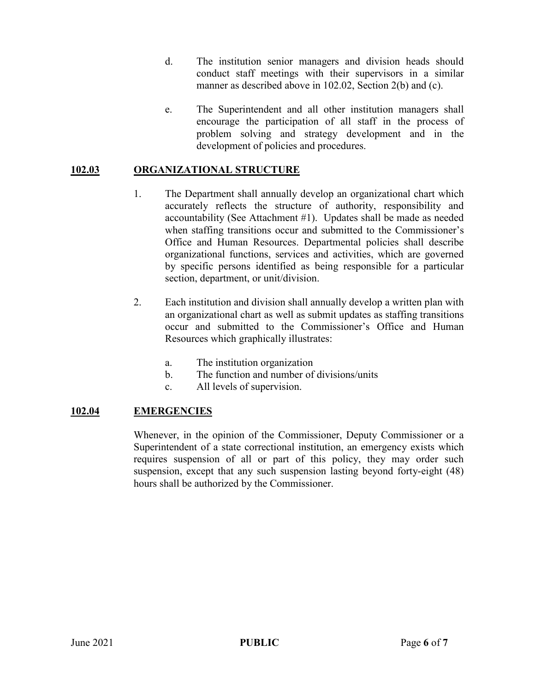- d. The institution senior managers and division heads should conduct staff meetings with their supervisors in a similar manner as described above in 102.02, Section 2(b) and (c).
- e. The Superintendent and all other institution managers shall encourage the participation of all staff in the process of problem solving and strategy development and in the development of policies and procedures.

# **102.03 ORGANIZATIONAL STRUCTURE**

- 1. The Department shall annually develop an organizational chart which accurately reflects the structure of authority, responsibility and accountability (See Attachment #1). Updates shall be made as needed when staffing transitions occur and submitted to the Commissioner's Office and Human Resources. Departmental policies shall describe organizational functions, services and activities, which are governed by specific persons identified as being responsible for a particular section, department, or unit/division.
- 2. Each institution and division shall annually develop a written plan with an organizational chart as well as submit updates as staffing transitions occur and submitted to the Commissioner's Office and Human Resources which graphically illustrates:
	- a. The institution organization
	- b. The function and number of divisions/units
	- c. All levels of supervision.

### **102.04 EMERGENCIES**

Whenever, in the opinion of the Commissioner, Deputy Commissioner or a Superintendent of a state correctional institution, an emergency exists which requires suspension of all or part of this policy, they may order such suspension, except that any such suspension lasting beyond forty-eight (48) hours shall be authorized by the Commissioner.